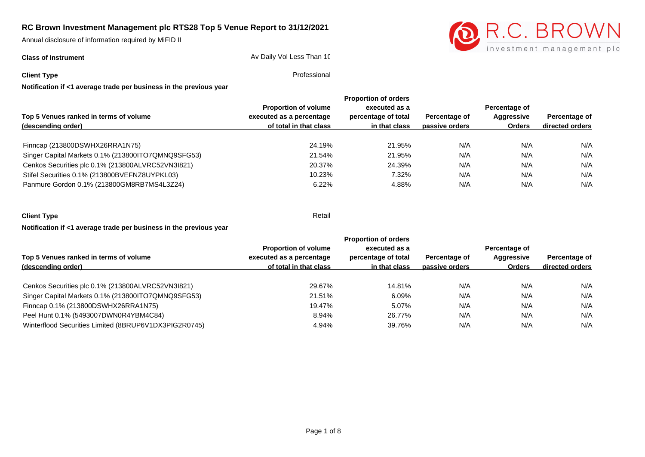Annual disclosure of information required by MiFID II

**Class of Instrument** Class **Class of Instrument** Av Daily Vol Less Than 10



**Client Type** Professional

| Notification if <1 average trade per business in the previous year |  |
|--------------------------------------------------------------------|--|
|--------------------------------------------------------------------|--|

|                                                    |                             | <b>Proportion of orders</b> |                |                             |                                  |
|----------------------------------------------------|-----------------------------|-----------------------------|----------------|-----------------------------|----------------------------------|
|                                                    | <b>Proportion of volume</b> | executed as a               |                | Percentage of               |                                  |
| Top 5 Venues ranked in terms of volume             | executed as a percentage    | percentage of total         | Percentage of  | Aggressive<br><b>Orders</b> | Percentage of<br>directed orders |
| (descending order)                                 | of total in that class      | in that class               | passive orders |                             |                                  |
|                                                    |                             |                             |                |                             |                                  |
| Finncap (213800DSWHX26RRA1N75)                     | 24.19%                      | 21.95%                      | N/A            | N/A                         | N/A                              |
| Singer Capital Markets 0.1% (213800ITO7QMNQ9SFG53) | 21.54%                      | 21.95%                      | N/A            | N/A                         | N/A                              |
| Cenkos Securities plc 0.1% (213800ALVRC52VN3I821)  | 20.37%                      | 24.39%                      | N/A            | N/A                         | N/A                              |
| Stifel Securities 0.1% (213800BVEFNZ8UYPKL03)      | 10.23%                      | 7.32%                       | N/A            | N/A                         | N/A                              |
| Panmure Gordon 0.1% (213800GM8RB7MS4L3Z24)         | 6.22%                       | 4.88%                       | N/A            | N/A                         | N/A                              |
|                                                    |                             |                             |                |                             |                                  |

| <b>Client Type</b>                                                 | Retail |
|--------------------------------------------------------------------|--------|
| Notification if <1 average trade per business in the previous year |        |

|                                                       | <b>Proportion of orders</b> |                                      |                |                                              |                                  |
|-------------------------------------------------------|-----------------------------|--------------------------------------|----------------|----------------------------------------------|----------------------------------|
|                                                       | <b>Proportion of volume</b> | executed as a<br>percentage of total |                | Percentage of<br>Aggressive<br><b>Orders</b> | Percentage of<br>directed orders |
| Top 5 Venues ranked in terms of volume                | executed as a percentage    |                                      | Percentage of  |                                              |                                  |
| (descending order)                                    | of total in that class      | in that class                        | passive orders |                                              |                                  |
|                                                       |                             |                                      |                |                                              |                                  |
| Cenkos Securities plc 0.1% (213800ALVRC52VN3I821)     | 29.67%                      | 14.81%                               | N/A            | N/A                                          | N/A                              |
| Singer Capital Markets 0.1% (213800ITO7QMNQ9SFG53)    | 21.51%                      | 6.09%                                | N/A            | N/A                                          | N/A                              |
| Finncap 0.1% (213800DSWHX26RRA1N75)                   | 19.47%                      | 5.07%                                | N/A            | N/A                                          | N/A                              |
| Peel Hunt 0.1% (5493007DWN0R4YBM4C84)                 | 8.94%                       | 26.77%                               | N/A            | N/A                                          | N/A                              |
| Winterflood Securities Limited (8BRUP6V1DX3PIG2R0745) | 4.94%                       | 39.76%                               | N/A            | N/A                                          | N/A                              |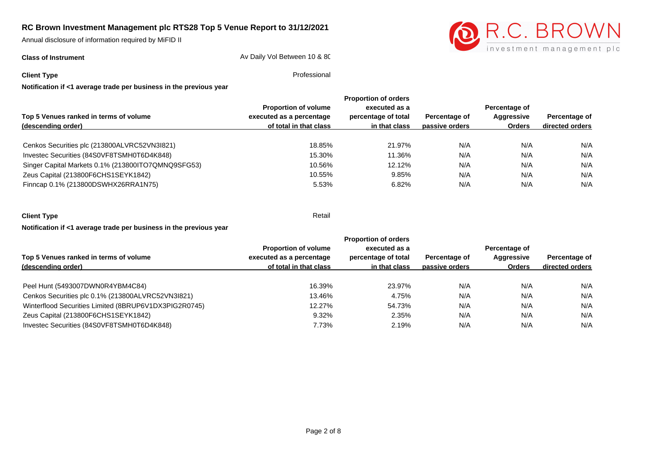Annual disclosure of information required by MiFID II

**Class of Instrument** Class of Instrument Class of Instrument Av Daily Vol Between 10 & 80



**Client Type** Professional

|                                                    |                             | <b>Proportion of orders</b>          |                |                                              |                                  |  |  |
|----------------------------------------------------|-----------------------------|--------------------------------------|----------------|----------------------------------------------|----------------------------------|--|--|
| Top 5 Venues ranked in terms of volume             | <b>Proportion of volume</b> | executed as a<br>percentage of total |                | Percentage of<br>Aggressive<br><b>Orders</b> | Percentage of<br>directed orders |  |  |
|                                                    | executed as a percentage    |                                      | Percentage of  |                                              |                                  |  |  |
| (descending order)                                 | of total in that class      | in that class                        | passive orders |                                              |                                  |  |  |
|                                                    |                             |                                      |                |                                              |                                  |  |  |
| Cenkos Securities plc (213800ALVRC52VN3I821)       | 18.85%                      | 21.97%                               | N/A            | N/A                                          | N/A                              |  |  |
| Investec Securities (84S0VF8TSMH0T6D4K848)         | 15.30%                      | 11.36%                               | N/A            | N/A                                          | N/A                              |  |  |
| Singer Capital Markets 0.1% (213800ITO7QMNQ9SFG53) | 10.56%                      | 12.12%                               | N/A            | N/A                                          | N/A                              |  |  |
| Zeus Capital (213800F6CHS1SEYK1842)                | 10.55%                      | 9.85%                                | N/A            | N/A                                          | N/A                              |  |  |
| Finncap 0.1% (213800DSWHX26RRA1N75)                | 5.53%                       | 6.82%                                | N/A            | N/A                                          | N/A                              |  |  |
|                                                    |                             |                                      |                |                                              |                                  |  |  |

| <b>Client Type</b> | Retail |
|--------------------|--------|
|                    |        |

**Notification if <1 average trade per business in the previous year**

|                                                       |                             | <b>Proportion of orders</b>          |                |                                       |                                  |
|-------------------------------------------------------|-----------------------------|--------------------------------------|----------------|---------------------------------------|----------------------------------|
|                                                       | <b>Proportion of volume</b> | executed as a<br>percentage of total |                | Percentage of<br>Aggressive<br>Orders | Percentage of<br>directed orders |
| Top 5 Venues ranked in terms of volume                | executed as a percentage    |                                      | Percentage of  |                                       |                                  |
| (descending order)                                    | of total in that class      | in that class                        | passive orders |                                       |                                  |
| Peel Hunt (5493007DWN0R4YBM4C84)                      | 16.39%                      | 23.97%                               | N/A            | N/A                                   | N/A                              |
| Cenkos Securities plc 0.1% (213800ALVRC52VN3I821)     | 13.46%                      | 4.75%                                | N/A            | N/A                                   | N/A                              |
| Winterflood Securities Limited (8BRUP6V1DX3PIG2R0745) | 12.27%                      | 54.73%                               | N/A            | N/A                                   | N/A                              |
| Zeus Capital (213800F6CHS1SEYK1842)                   | 9.32%                       | 2.35%                                | N/A            | N/A                                   | N/A                              |
| Investec Securities (84S0VF8TSMH0T6D4K848)            | 7.73%                       | 2.19%                                | N/A            | N/A                                   | N/A                              |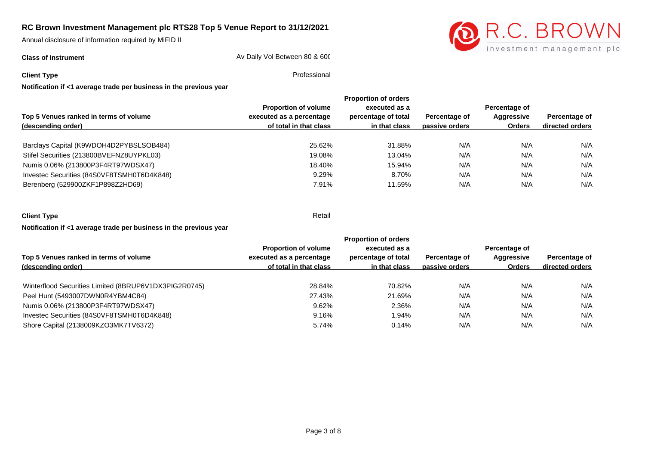Annual disclosure of information required by MiFID II

**Class of Instrument Class of Instrument** Av Daily Vol Between 80 & 600



**Client Type** Professional

|                                            |                             | <b>Proportion of orders</b>          |                |                                       |                                  |  |
|--------------------------------------------|-----------------------------|--------------------------------------|----------------|---------------------------------------|----------------------------------|--|
| Top 5 Venues ranked in terms of volume     | <b>Proportion of volume</b> | executed as a<br>percentage of total |                | Percentage of<br>Aggressive<br>Orders | Percentage of<br>directed orders |  |
|                                            | executed as a percentage    |                                      | Percentage of  |                                       |                                  |  |
| (descending order)                         | of total in that class      | in that class                        | passive orders |                                       |                                  |  |
|                                            |                             |                                      |                |                                       |                                  |  |
| Barclays Capital (K9WDOH4D2PYBSLSOB484)    | 25.62%                      | 31.88%                               | N/A            | N/A                                   | N/A                              |  |
| Stifel Securities (213800BVEFNZ8UYPKL03)   | 19.08%                      | 13.04%                               | N/A            | N/A                                   | N/A                              |  |
| Numis 0.06% (213800P3F4RT97WDSX47)         | 18.40%                      | 15.94%                               | N/A            | N/A                                   | N/A                              |  |
| Investec Securities (84S0VF8TSMH0T6D4K848) | 9.29%                       | 8.70%                                | N/A            | N/A                                   | N/A                              |  |
| Berenberg (529900ZKF1P898Z2HD69)           | 7.91%                       | 11.59%                               | N/A            | N/A                                   | N/A                              |  |
|                                            |                             |                                      |                |                                       |                                  |  |

| <b>Client Type</b>                                                 | Retail |
|--------------------------------------------------------------------|--------|
| Notification if <1 average trade per business in the previous year |        |

**Top 5 Venues ranked in terms of volume (descending order) Proportion of volume executed as a percentage of total in that class Proportion of orders executed as a percentage of total in that class passive orders Percentage of Percentage of Aggressive Orders directed orders Percentage of**  Winterflood Securities Limited (8BRUP6V1DX3PIG2R0745) **28.84%** 28.84% 70.82% N/A N/A N/A N/A Peel Hunt (5493007DWN0R4YBM4C84) 27.43% 21.69% N/A N/A N/A Numis 0.06% (213800P3F4RT97WDSX47) 9.62% 2.36% N/A N/A N/A Investec Securities (84S0VF8TSMH0T6D4K848) 9.16% 1.94% N/A N/A N/A Shore Capital (2138009KZO3MK7TV6372) 6.74% 5.74% 0.14% 0.14% N/A N/A N/A N/A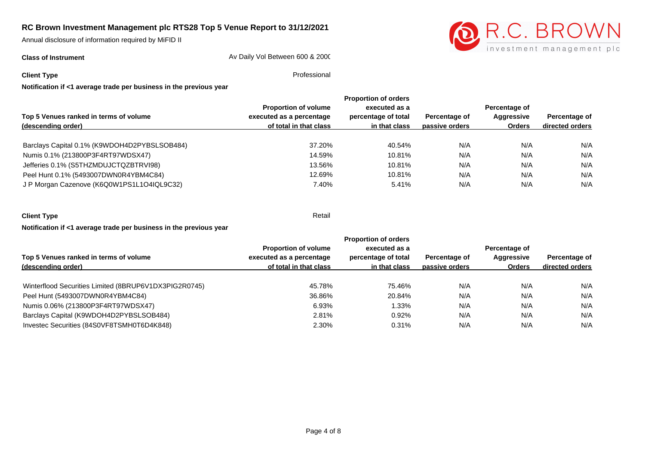Annual disclosure of information required by MiFID II

**Class of Instrument Class of Instrument** Av Daily Vol Between 600 & 2000



**Client Type** Professional

**Notification if <1 average trade per business in the previous year**

|                                              |                             | <b>Proportion of orders</b> |                |                             |                                  |  |
|----------------------------------------------|-----------------------------|-----------------------------|----------------|-----------------------------|----------------------------------|--|
|                                              | <b>Proportion of volume</b> | executed as a               |                | Percentage of               |                                  |  |
| Top 5 Venues ranked in terms of volume       | executed as a percentage    | percentage of total         | Percentage of  | Aggressive<br><b>Orders</b> | Percentage of<br>directed orders |  |
| (descending order)                           | of total in that class      | in that class               | passive orders |                             |                                  |  |
|                                              |                             |                             |                |                             |                                  |  |
|                                              |                             |                             |                |                             | N/A                              |  |
| Numis 0.1% (213800P3F4RT97WDSX47)            | 14.59%                      | 10.81%                      | N/A            | N/A                         | N/A                              |  |
| Jefferies 0.1% (S5THZMDUJCTQZBTRVI98)        | 13.56%                      | 10.81%                      | N/A            | N/A                         | N/A                              |  |
| Peel Hunt 0.1% (5493007DWN0R4YBM4C84)        | 12.69%                      | 10.81%                      | N/A            | N/A                         | N/A                              |  |
| J P Morgan Cazenove (K6Q0W1PS1L1O4IQL9C32)   | 7.40%                       | 5.41%                       | N/A            | N/A                         | N/A                              |  |
| Barclays Capital 0.1% (K9WDOH4D2PYBSLSOB484) | 37.20%                      | 40.54%                      | N/A            | N/A                         |                                  |  |

| <b>Client Type</b>                                                 | Retail |
|--------------------------------------------------------------------|--------|
| Notification if <1 average trade per business in the previous year |        |

**Top 5 Venues ranked in terms of volume (descending order) Proportion of volume executed as a percentage of total in that class Proportion of orders executed as a percentage of total in that class passive orders Percentage of Percentage of Aggressive Orders directed orders Percentage of**  Winterflood Securities Limited (8BRUP6V1DX3PIG2R0745) 45.78% 45.78% 75.46% N/A N/A N/A N/A N/A Peel Hunt (5493007DWN0R4YBM4C84) 36.86% 20.84% N/A N/A N/A N/A Numis 0.06% (213800P3F4RT97WDSX47) 6.93% 1.33% N/A N/A N/A Barclays Capital (K9WDOH4D2PYBSLSOB484) 2.81% 0.92% N/A N/A N/A Investec Securities (84S0VF8TSMH0T6D4K848) 2.30% 0.31% N/A N/A N/A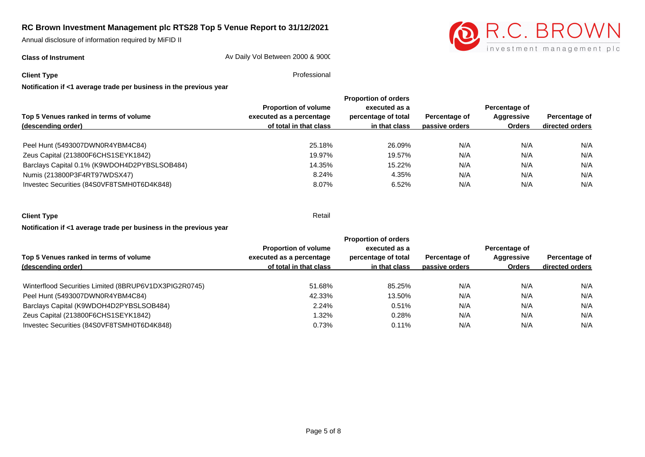Annual disclosure of information required by MiFID II

**Class of Instrument Av Daily Vol Between 2000 & 9000** 



**Client Type** Professional

**Notification if <1 average trade per business in the previous year**

|                                              | <b>Proportion of orders</b> |                     |                |               |                 |  |
|----------------------------------------------|-----------------------------|---------------------|----------------|---------------|-----------------|--|
|                                              | <b>Proportion of volume</b> | executed as a       |                | Percentage of |                 |  |
| Top 5 Venues ranked in terms of volume       | executed as a percentage    | percentage of total | Percentage of  | Aggressive    | Percentage of   |  |
| (descending order)                           | of total in that class      | in that class       | passive orders | <b>Orders</b> | directed orders |  |
|                                              | 25.18%                      | 26.09%              | N/A            | N/A           | N/A             |  |
| Peel Hunt (5493007DWN0R4YBM4C84)             |                             |                     |                |               |                 |  |
| Zeus Capital (213800F6CHS1SEYK1842)          | 19.97%                      | 19.57%              | N/A            | N/A           | N/A             |  |
| Barclays Capital 0.1% (K9WDOH4D2PYBSLSOB484) | 14.35%                      | 15.22%              | N/A            | N/A           | N/A             |  |
| Numis (213800P3F4RT97WDSX47)                 | 8.24%                       | 4.35%               | N/A            | N/A           | N/A             |  |
| Investec Securities (84S0VF8TSMH0T6D4K848)   | 8.07%                       | 6.52%               | N/A            | N/A           | N/A             |  |

**Client Type** Retail **Notification if <1 average trade per business in the previous year**

**Top 5 Venues ranked in terms of volume (descending order) Proportion of volume executed as a percentage of total in that class Proportion of orders executed as a percentage of total in that class passive orders Percentage of Percentage of Aggressive Orders directed orders Percentage of**  Winterflood Securities Limited (8BRUP6V1DX3PIG2R0745) 651.68% 51.68% 85.25% N/A N/A N/A N/A N/A Peel Hunt (5493007DWN0R4YBM4C84) 42.33% 13.50% N/A N/A N/A Barclays Capital (K9WDOH4D2PYBSLSOB484) 2.24% 0.51% N/A N/A N/A Zeus Capital (213800F6CHS1SEYK1842) 1.32% 0.28% N/A N/A N/A Investec Securities (84S0VF8TSMH0T6D4K848) and the control of the control of the control of the control of the control of the control of the control of the control of the control of the control of the control of the contro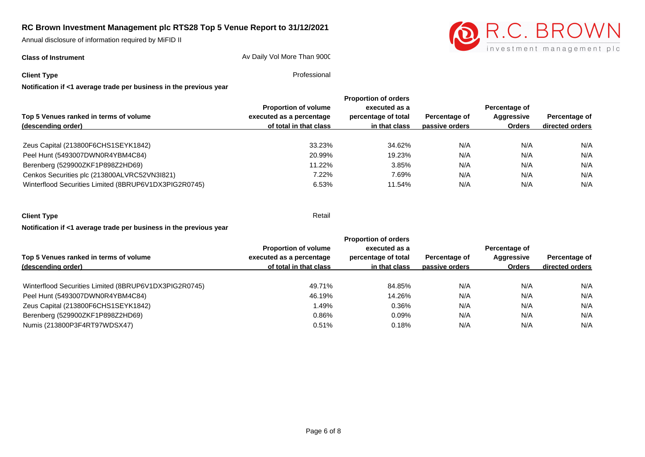Annual disclosure of information required by MiFID II

**Class of Instrument Av Daily Vol More Than 9000** 



**Client Type** Professional

|                                                       | <b>Proportion of volume</b> | executed as a       |                | Percentage of |                 |
|-------------------------------------------------------|-----------------------------|---------------------|----------------|---------------|-----------------|
| Top 5 Venues ranked in terms of volume                | executed as a percentage    | percentage of total | Percentage of  | Aggressive    | Percentage of   |
| (descending order)                                    | of total in that class      | in that class       | passive orders | <b>Orders</b> | directed orders |
| Zeus Capital (213800F6CHS1SEYK1842)                   | 33.23%                      | 34.62%              | N/A            | N/A           | N/A             |
| Peel Hunt (5493007DWN0R4YBM4C84)                      | 20.99%                      | 19.23%              | N/A            | N/A           | N/A             |
| Berenberg (529900ZKF1P898Z2HD69)                      | 11.22%                      | 3.85%               | N/A            | N/A           | N/A             |
| Cenkos Securities plc (213800ALVRC52VN3I821)          | 7.22%                       | 7.69%               | N/A            | N/A           | N/A             |
| Winterflood Securities Limited (8BRUP6V1DX3PIG2R0745) | 6.53%                       | 11.54%              | N/A            | N/A           | N/A             |
|                                                       |                             |                     |                |               |                 |

| <b>Client Type</b>                                                 | Retail |
|--------------------------------------------------------------------|--------|
| Notification if <1 average trade per business in the previous year |        |

**Top 5 Venues ranked in terms of volume (descending order) Proportion of volume executed as a percentage of total in that class Proportion of orders executed as a percentage of total in that class passive orders Percentage of Percentage of Aggressive Orders directed orders Percentage of**  Winterflood Securities Limited (8BRUP6V1DX3PIG2R0745) 49.71% 49.71% 84.85% N/A N/A N/A N/A N/A Peel Hunt (5493007DWN0R4YBM4C84) 14.26% N/A N/A N/A N/A Zeus Capital (213800F6CHS1SEYK1842) 1.49% 0.36% N/A N/A N/A Berenberg (529900ZKF1P898Z2HD69) 0.86% 0.09% N/A N/A N/A Numis (213800P3F4RT97WDSX47) 0.51% 0.18% N/A N/A N/A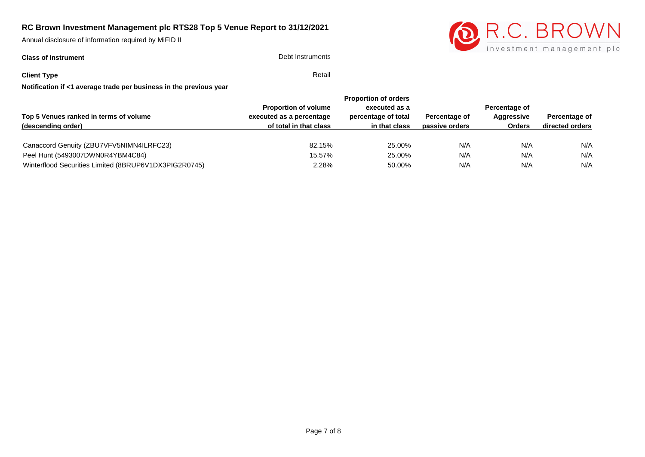Annual disclosure of information required by MiFID II

# **Class of Instrument** Debt Instruments



**Client Type** Retail

|                                                       |                             | <b>Proportion of orders</b> |                |               |                 |
|-------------------------------------------------------|-----------------------------|-----------------------------|----------------|---------------|-----------------|
|                                                       | <b>Proportion of volume</b> | executed as a               |                | Percentage of |                 |
| Top 5 Venues ranked in terms of volume                | executed as a percentage    | percentage of total         | Percentage of  | Aggressive    | Percentage of   |
| (descending order)                                    | of total in that class      | in that class               | passive orders | <b>Orders</b> | directed orders |
|                                                       |                             |                             |                |               |                 |
| Canaccord Genuity (ZBU7VFV5NIMN4ILRFC23)              | 82.15%                      | 25.00%                      | N/A            | N/A           | N/A             |
| Peel Hunt (5493007DWN0R4YBM4C84)                      | 15.57%                      | 25.00%                      | N/A            | N/A           | N/A             |
| Winterflood Securities Limited (8BRUP6V1DX3PIG2R0745) | 2.28%                       | 50.00%                      | N/A            | N/A           | N/A             |
|                                                       |                             |                             |                |               |                 |